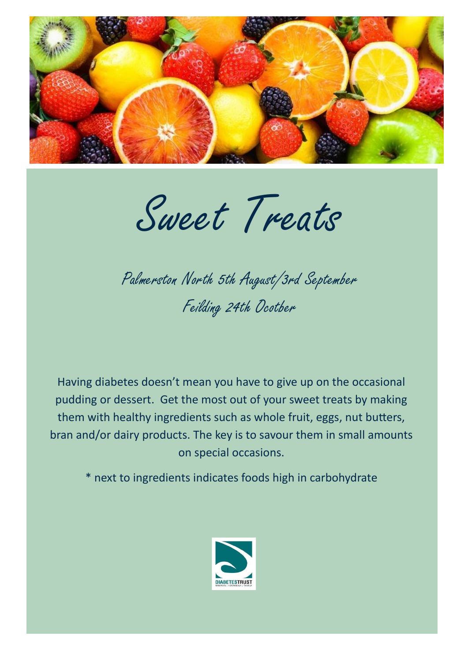

Sweet Treats

## Palmerston North 5th August/3rd September Feilding 24th Ocotber

Having diabetes doesn't mean you have to give up on the occasional pudding or dessert. Get the most out of your sweet treats by making them with healthy ingredients such as whole fruit, eggs, nut butters, bran and/or dairy products. The key is to savour them in small amounts on special occasions.

\* next to ingredients indicates foods high in carbohydrate

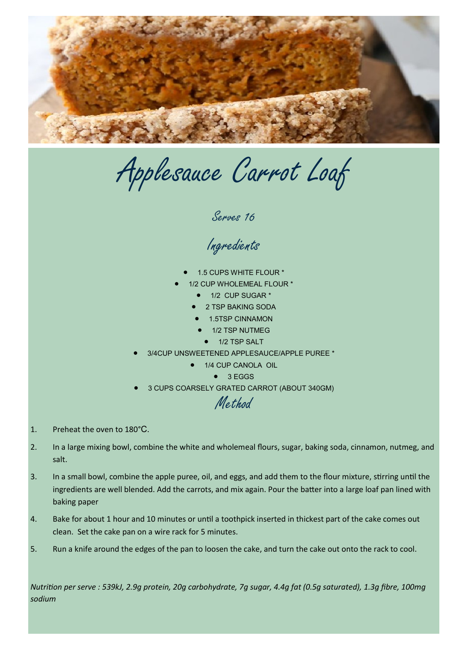

Applesauce Carrot Loaf

Serves 16

Ingredients

- 1.5 CUPS WHITE FLOUR \*
- 1/2 CUP WHOLEMEAL FLOUR \*
	- 1/2 CUP SUGAR \*
	- 2 TSP BAKING SODA
	- 1.5TSP CINNAMON
	- 1/2 TSP NUTMEG
		- **1/2 TSP SALT**
- 3/4CUP UNSWEETENED APPLESAUCE/APPLE PUREE \*
	- 1/4 CUP CANOLA OIL
		- $\bullet$  3 EGGS
- 3 CUPS COARSELY GRATED CARROT (ABOUT 340GM)

Method

- 1. Preheat the oven to 180°C.
- 2. In a large mixing bowl, combine the white and wholemeal flours, sugar, baking soda, cinnamon, nutmeg, and salt.
- 3. In a small bowl, combine the apple puree, oil, and eggs, and add them to the flour mixture, stirring until the ingredients are well blended. Add the carrots, and mix again. Pour the batter into a large loaf pan lined with baking paper
- 4. Bake for about 1 hour and 10 minutes or until a toothpick inserted in thickest part of the cake comes out clean. Set the cake pan on a wire rack for 5 minutes.
- 5. Run a knife around the edges of the pan to loosen the cake, and turn the cake out onto the rack to cool.

*Nutrition per serve : 539kJ, 2.9g protein, 20g carbohydrate, 7g sugar, 4.4g fat (0.5g saturated), 1.3g fibre, 100mg sodium*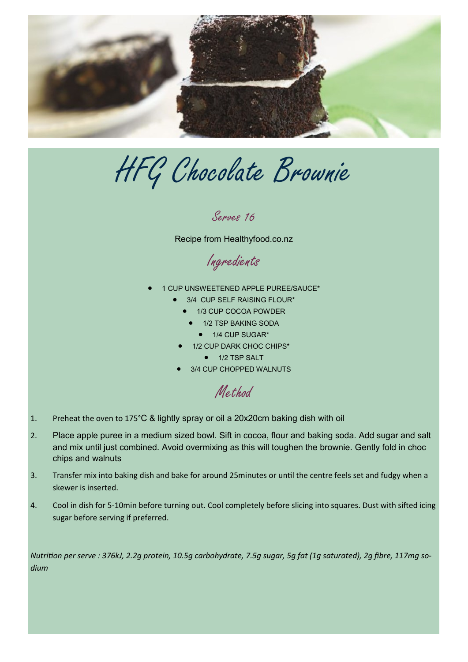

HFG Chocolate Brownie

Serves 16

Recipe from Healthyfood.co.nz

Ingredients

- 1 CUP UNSWEETENED APPLE PUREE/SAUCE\*
	- 3/4 CUP SELF RAISING FLOUR\*
		- 1/3 CUP COCOA POWDER
		- 1/2 TSP BAKING SODA
			- 1/4 CUP SUGAR\*
		- 1/2 CUP DARK CHOC CHIPS\*
			- 1/2 TSP SALT
	- 3/4 CUP CHOPPED WALNUTS

Method

- 1. Preheat the oven to 175°C & lightly spray or oil a 20x20cm baking dish with oil
- 2. Place apple puree in a medium sized bowl. Sift in cocoa, flour and baking soda. Add sugar and salt and mix until just combined. Avoid overmixing as this will toughen the brownie. Gently fold in choc chips and walnuts
- 3. Transfer mix into baking dish and bake for around 25minutes or until the centre feels set and fudgy when a skewer is inserted.
- 4. Cool in dish for 5-10min before turning out. Cool completely before slicing into squares. Dust with sifted icing sugar before serving if preferred.

*Nutrition per serve : 376kJ, 2.2g protein, 10.5g carbohydrate, 7.5g sugar, 5g fat (1g saturated), 2g fibre, 117mg sodium*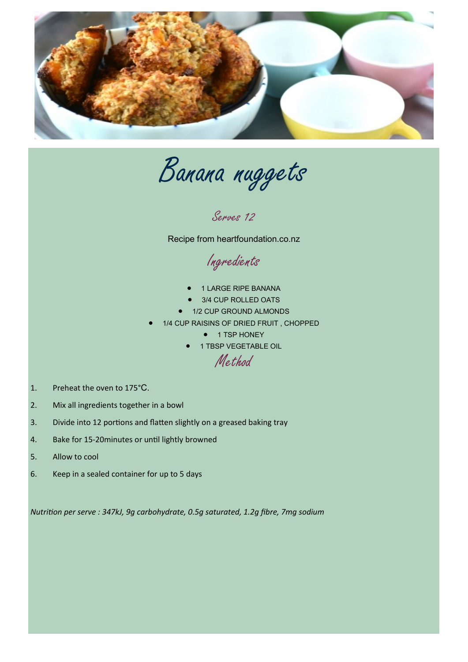

Banana nuggets

Serves 12

Recipe from heartfoundation.co.nz

Ingredients

- 1 LARGE RIPE BANANA
- 3/4 CUP ROLLED OATS
- 1/2 CUP GROUND ALMONDS
- 1/4 CUP RAISINS OF DRIED FRUIT , CHOPPED
	- **1 TSP HONEY**
	- **1 TBSP VEGETABLE OIL**

Method

- 1. Preheat the oven to 175°C.
- 2. Mix all ingredients together in a bowl
- 3. Divide into 12 portions and flatten slightly on a greased baking tray
- 4. Bake for 15-20minutes or until lightly browned
- 5. Allow to cool
- 6. Keep in a sealed container for up to 5 days

*Nutrition per serve : 347kJ, 9g carbohydrate, 0.5g saturated, 1.2g fibre, 7mg sodium*